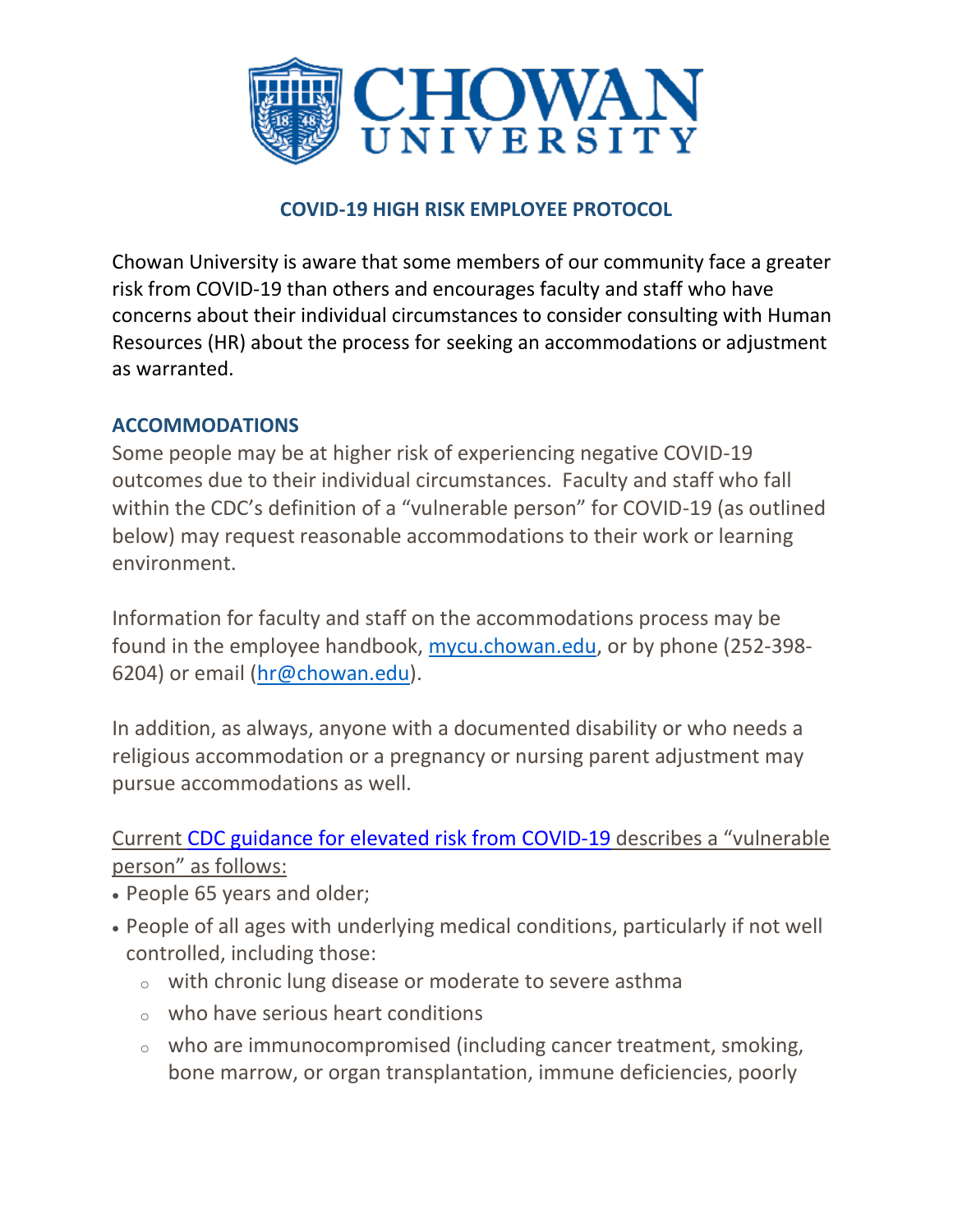

## **COVID-19 HIGH RISK EMPLOYEE PROTOCOL**

Chowan University is aware that some members of our community face a greater risk from COVID-19 than others and encourages faculty and staff who have concerns about their individual circumstances to consider consulting with [Human](https://chowan.edu/resources/human-resources)  [Resources](https://chowan.edu/resources/human-resources) (HR) about the process for seeking an accommodations or adjustment as warranted.

## **ACCOMMODATIONS**

Some people may be at higher risk of experiencing negative COVID-19 outcomes due to their individual circumstances. Faculty and staff who fall within the CDC's definition of a "vulnerable person" for COVID-19 (as outlined below) may request reasonable accommodations to their work or learning environment.

Information for faculty and staff on the accommodations process may be found in the employee handbook, [mycu.chowan.edu,](https://mycu.chowan.edu/ICS/Employee_Info/) or by phone (252-398- 6204) or email [\(hr@chowan.edu\)](mailto:hr@chowan.edu).

In addition, as always, anyone with a documented disability or who needs a religious accommodation or a pregnancy or nursing parent adjustment may pursue accommodations as well.

## Current CDC guidance for elevated risk from [COVID-19](https://www.cdc.gov/coronavirus/2019-ncov/need-extra-precautions/people-at-increased-risk.html) describes a "vulnerable person" as follows:

- People 65 years and older;
- People of all ages with underlying medical conditions, particularly if not well controlled, including those:
	- <sup>o</sup> with chronic lung disease or moderate to severe asthma
	- $\circ$  who have serious heart conditions
	- $\circ$  who are immunocompromised (including cancer treatment, smoking, bone marrow, or organ transplantation, immune deficiencies, poorly